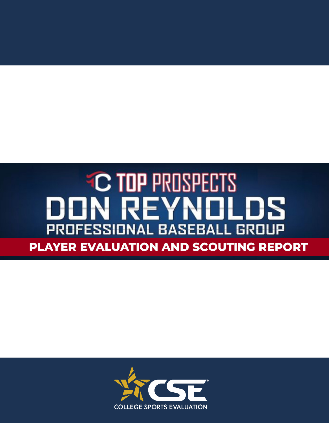### **C TOP PROSPECTS** DON REYNOLDS PROFESSIONAL BASEBALL GROUP PLAYER EVALUATION AND SCOUTING REPORT

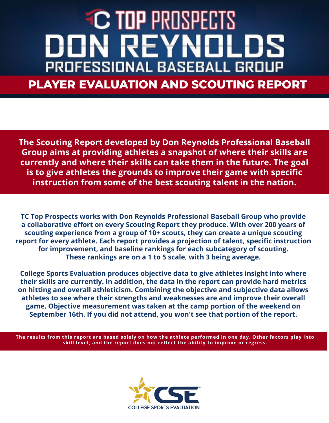## **C TOP PROSPECT** IN REYNI PROFESSIONAL BASEBALL GROL **PLAYER EVALUATION AND SCOUTING REPORT**

**The Scouting Report developed by Don Reynolds Professional Baseball Group aims at providing athletes a snapshot of where their skills are currently and where their skills can take them in the future. The goal is to give athletes the grounds to improve their game with specific instruction from some of the best scouting talent in the nation.** 

**TC Top Prospects works with Don Reynolds Professional Baseball Group who provide a collaborative effort on every Scouting Report they produce. With over 200 years of scouting experience from a group of 10+ scouts, they can create a unique scouting report for every athlete. Each report provides a projection of talent, specific instruction for improvement, and baseline rankings for each subcategory of scouting. These rankings are on a 1 to 5 scale, with 3 being average.** 

**College Sports Evaluation produces objective data to give athletes insight into where their skills are currently. In addition, the data in the report can provide hard metrics on hitting and overall athleticism. Combining the objective and subjective data allows athletes to see where their strengths and weaknesses are and improve their overall game. Objective measurement was taken at the camp portion of the weekend on September 16th. If you did not attend, you won't see that portion of the report.**

**The results from this report are based solely on how the athlete performed in one day. Other factors play into skill level, and the report does not reflect the ability to improve or regress.**

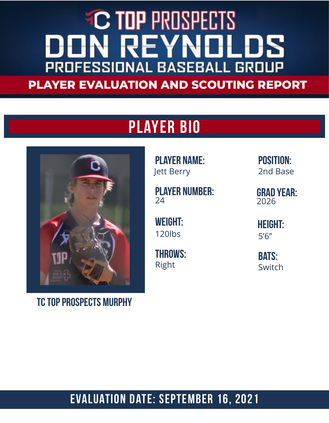#### **EC TOP PROSPECTS ON REYNOL** LDS PROFESSIONAL BASEBALL GROUP **PLAYER EVALUATION AND SCOUTING REPORT**

### Player Bio



TC Top prospects murphy

Player Name: Jett Berry

Player number:  $24$ 

WEight: 120lbs

Throws: Right

Position: 2nd Base

Grad Year: 2026

Height: 5'6"

**BATS: Switch** 

#### Evaluation Date: September 16, 2021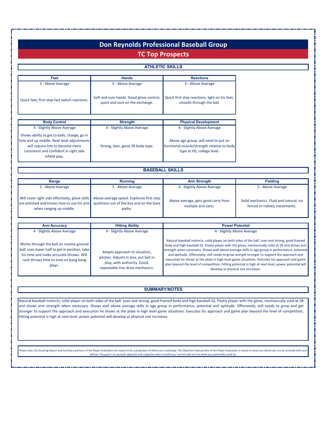|                                                                                                                                                                                          |                                                                                                             | <b>TC Top Prospects</b>                                                                                                                                                                                                                                                                                                                                                                                                                                                                                                                |                                                                        |
|------------------------------------------------------------------------------------------------------------------------------------------------------------------------------------------|-------------------------------------------------------------------------------------------------------------|----------------------------------------------------------------------------------------------------------------------------------------------------------------------------------------------------------------------------------------------------------------------------------------------------------------------------------------------------------------------------------------------------------------------------------------------------------------------------------------------------------------------------------------|------------------------------------------------------------------------|
|                                                                                                                                                                                          |                                                                                                             | <b>ATHLETIC SKILLS</b>                                                                                                                                                                                                                                                                                                                                                                                                                                                                                                                 |                                                                        |
|                                                                                                                                                                                          |                                                                                                             |                                                                                                                                                                                                                                                                                                                                                                                                                                                                                                                                        |                                                                        |
| Feet<br>5 - Above Average                                                                                                                                                                | <b>Hands</b><br>5 - Above Average                                                                           | <b>Reactions</b><br>5 - Above Average                                                                                                                                                                                                                                                                                                                                                                                                                                                                                                  |                                                                        |
| Quick feet, first step fast twitch reactions.                                                                                                                                            | Good glove control, soft and sure hands.<br>quick & sure on the exchange.                                   | First step quickness, aggressive and sure<br>on his feet, works well through the ball.                                                                                                                                                                                                                                                                                                                                                                                                                                                 |                                                                        |
| <b>Body Control</b>                                                                                                                                                                      | <b>Strength</b>                                                                                             | <b>Physical Development</b>                                                                                                                                                                                                                                                                                                                                                                                                                                                                                                            |                                                                        |
| 4 - Slightly Above Average                                                                                                                                                               | 4 - Slightly Above Average                                                                                  | 4 - Slightly Above Average                                                                                                                                                                                                                                                                                                                                                                                                                                                                                                             |                                                                        |
| Shows ability to get to balls, charge, go in<br>hole and up middle. Next level adjustments<br>will require him to become more<br>consistent and confident in right side<br>infield play. | Strong, lean, good 2B body type.                                                                            | Above age group, will need to put on<br>functional muscle/strength relative to body<br>type at HS, college level.                                                                                                                                                                                                                                                                                                                                                                                                                      |                                                                        |
|                                                                                                                                                                                          |                                                                                                             | <b>BASEBALL SKILLS</b>                                                                                                                                                                                                                                                                                                                                                                                                                                                                                                                 |                                                                        |
| Range                                                                                                                                                                                    | <b>Running</b>                                                                                              | <b>Arm Strength</b>                                                                                                                                                                                                                                                                                                                                                                                                                                                                                                                    | <b>Fielding</b>                                                        |
| 5 - Above Average                                                                                                                                                                        | 5 - Above Average                                                                                           | 4 - Slightly Above Average                                                                                                                                                                                                                                                                                                                                                                                                                                                                                                             | 5 - Above Average                                                      |
| Will cover right side effectively, glove skills<br>are polished and knows how to use his arm<br>when ranging up middle.                                                                  | Above average speed. Explosive first step<br>quickness out of the box and on the base<br>paths.             | Above average, gets good carry from<br>multiple arm slots.                                                                                                                                                                                                                                                                                                                                                                                                                                                                             | Solid mechanics. Fluid and natural, no<br>forced or robotic movements. |
| <b>Arm Accuracy</b>                                                                                                                                                                      | <b>Hitting Ability</b>                                                                                      | <b>Power Potential</b>                                                                                                                                                                                                                                                                                                                                                                                                                                                                                                                 |                                                                        |
| 4 - Slightly Above Average                                                                                                                                                               | 4 - Slightly Above Average                                                                                  | 4 - Slightly Above Average                                                                                                                                                                                                                                                                                                                                                                                                                                                                                                             |                                                                        |
| Consistent and accurate on routine plays,<br>uses lower half well, takes time to work<br>through the ball. Has tendency to rush on<br>bang-bang plays.                                   | Good, repeatable line drive<br>mechanics. Aware and adaptable<br>approach, excellent situational<br>hitter. | Above average potential, large frame that needs muscle and height to develop full power<br>potential.                                                                                                                                                                                                                                                                                                                                                                                                                                  |                                                                        |
|                                                                                                                                                                                          |                                                                                                             |                                                                                                                                                                                                                                                                                                                                                                                                                                                                                                                                        |                                                                        |
|                                                                                                                                                                                          |                                                                                                             | <b>SUMMARY/NOTES</b>                                                                                                                                                                                                                                                                                                                                                                                                                                                                                                                   |                                                                        |
|                                                                                                                                                                                          | hitting potential is high at next level, power potential will develop as physical size increases.           | Natural baseball instincts, solid player on both sides of the ball. Lean and strong, good framed body and high baseball IQ. Flashy player with the glove, mechanically solid at 2B<br>and shows arm strength when necessary. Shows well above average skills in age group in performance, potential and aptitude. Offensively, still needs to grow and get<br>stronger to support the approach and execution he shows at the plate in high level game situations. Executes his approach and game plan beyond the level of competition, |                                                                        |

Please note, the Scouting Report and Summary portions of the Player Evaluation are meant to be a projection of where you could play. The Objective Data portion of the Player Evaluation is meant to show you where you are at